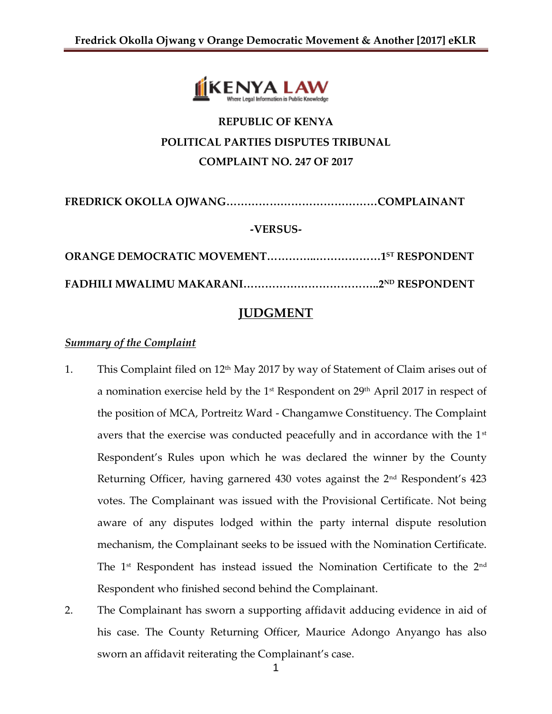

# **REPUBLIC OF KENYA POLITICAL PARTIES DISPUTES TRIBUNAL COMPLAINT NO. 247 OF 2017**

**FREDRICK OKOLLA OJWANG……………………………………COMPLAINANT -VERSUS-**

**ORANGE DEMOCRATIC MOVEMENT…………..………………1 ST RESPONDENT FADHILI MWALIMU MAKARANI………………………………..2ND RESPONDENT** 

## **JUDGMENT**

### *Summary of the Complaint*

- 1. This Complaint filed on 12th May 2017 by way of Statement of Claim arises out of a nomination exercise held by the 1st Respondent on 29th April 2017 in respect of the position of MCA, Portreitz Ward - Changamwe Constituency. The Complaint avers that the exercise was conducted peacefully and in accordance with the 1<sup>st</sup> Respondent's Rules upon which he was declared the winner by the County Returning Officer, having garnered 430 votes against the  $2<sup>nd</sup>$  Respondent's 423 votes. The Complainant was issued with the Provisional Certificate. Not being aware of any disputes lodged within the party internal dispute resolution mechanism, the Complainant seeks to be issued with the Nomination Certificate. The 1<sup>st</sup> Respondent has instead issued the Nomination Certificate to the 2<sup>nd</sup> Respondent who finished second behind the Complainant.
- 2. The Complainant has sworn a supporting affidavit adducing evidence in aid of his case. The County Returning Officer, Maurice Adongo Anyango has also sworn an affidavit reiterating the Complainant's case.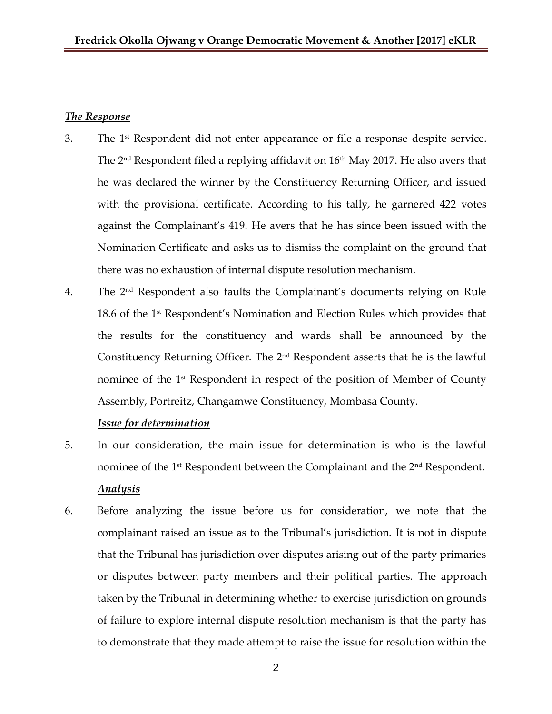#### *The Response*

- 3. The 1<sup>st</sup> Respondent did not enter appearance or file a response despite service. The 2<sup>nd</sup> Respondent filed a replying affidavit on 16<sup>th</sup> May 2017. He also avers that he was declared the winner by the Constituency Returning Officer, and issued with the provisional certificate. According to his tally, he garnered 422 votes against the Complainant's 419. He avers that he has since been issued with the Nomination Certificate and asks us to dismiss the complaint on the ground that there was no exhaustion of internal dispute resolution mechanism.
- 4. The 2 nd Respondent also faults the Complainant's documents relying on Rule 18.6 of the 1<sup>st</sup> Respondent's Nomination and Election Rules which provides that the results for the constituency and wards shall be announced by the Constituency Returning Officer. The  $2<sup>nd</sup>$  Respondent asserts that he is the lawful nominee of the 1<sup>st</sup> Respondent in respect of the position of Member of County Assembly, Portreitz, Changamwe Constituency, Mombasa County.

#### *Issue for determination*

- 5. In our consideration, the main issue for determination is who is the lawful nominee of the 1<sup>st</sup> Respondent between the Complainant and the 2<sup>nd</sup> Respondent. *Analysis*
- 6. Before analyzing the issue before us for consideration, we note that the complainant raised an issue as to the Tribunal's jurisdiction. It is not in dispute that the Tribunal has jurisdiction over disputes arising out of the party primaries or disputes between party members and their political parties. The approach taken by the Tribunal in determining whether to exercise jurisdiction on grounds of failure to explore internal dispute resolution mechanism is that the party has to demonstrate that they made attempt to raise the issue for resolution within the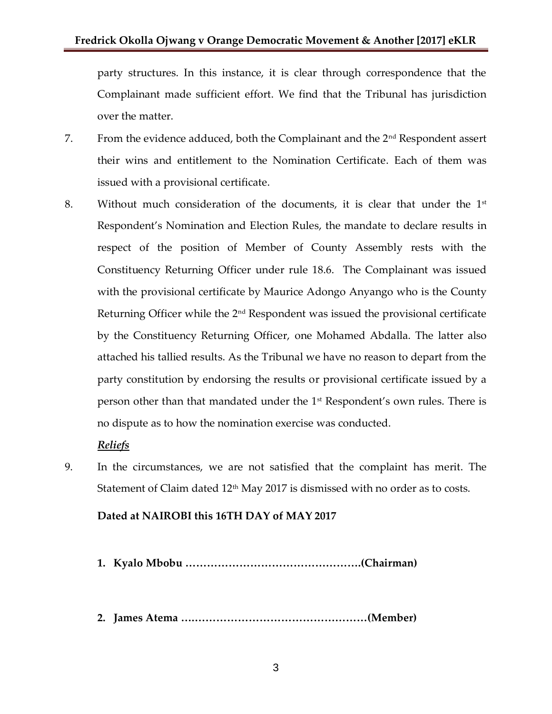party structures. In this instance, it is clear through correspondence that the Complainant made sufficient effort. We find that the Tribunal has jurisdiction over the matter.

- 7. From the evidence adduced, both the Complainant and the 2nd Respondent assert their wins and entitlement to the Nomination Certificate. Each of them was issued with a provisional certificate.
- 8. Without much consideration of the documents, it is clear that under the  $1<sup>st</sup>$ Respondent's Nomination and Election Rules, the mandate to declare results in respect of the position of Member of County Assembly rests with the Constituency Returning Officer under rule 18.6. The Complainant was issued with the provisional certificate by Maurice Adongo Anyango who is the County Returning Officer while the 2<sup>nd</sup> Respondent was issued the provisional certificate by the Constituency Returning Officer, one Mohamed Abdalla. The latter also attached his tallied results. As the Tribunal we have no reason to depart from the party constitution by endorsing the results or provisional certificate issued by a person other than that mandated under the 1st Respondent's own rules. There is no dispute as to how the nomination exercise was conducted.

## *Reliefs*

9. In the circumstances, we are not satisfied that the complaint has merit. The Statement of Claim dated 12<sup>th</sup> May 2017 is dismissed with no order as to costs.

## **Dated at NAIROBI this 16TH DAY of MAY 2017**

- **1. Kyalo Mbobu ………………………………………….(Chairman)**
- **2. James Atema ….…………………………………………(Member)**